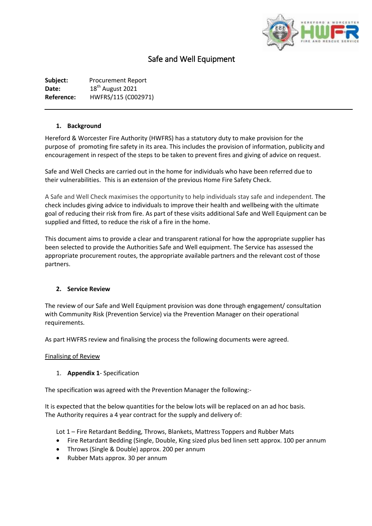

# Safe and Well Equipment

**Subject:** Procurement Report **Date:** 18<sup>th</sup> August 2021 **Reference:** HWFRS/115 (C002971)

## **1. Background**

Hereford & Worcester Fire Authority (HWFRS) has a statutory duty to make provision for the purpose of promoting fire safety in its area. This includes the provision of information, publicity and encouragement in respect of the steps to be taken to prevent fires and giving of advice on request.

Safe and Well Checks are carried out in the home for individuals who have been referred due to their vulnerabilities. This is an extension of the previous Home Fire Safety Check.

A Safe and Well Check maximises the opportunity to help individuals stay safe and independent. The check includes giving advice to individuals to improve their health and wellbeing with the ultimate goal of reducing their risk from fire. As part of these visits additional Safe and Well Equipment can be supplied and fitted, to reduce the risk of a fire in the home.

This document aims to provide a clear and transparent rational for how the appropriate supplier has been selected to provide the Authorities Safe and Well equipment. The Service has assessed the appropriate procurement routes, the appropriate available partners and the relevant cost of those partners.

# **2. Service Review**

The review of our Safe and Well Equipment provision was done through engagement/ consultation with Community Risk (Prevention Service) via the Prevention Manager on their operational requirements.

As part HWFRS review and finalising the process the following documents were agreed.

### Finalising of Review

# 1. **Appendix 1**- Specification

The specification was agreed with the Prevention Manager the following:-

It is expected that the below quantities for the below lots will be replaced on an ad hoc basis. The Authority requires a 4 year contract for the supply and delivery of:

Lot 1 – Fire Retardant Bedding, Throws, Blankets, Mattress Toppers and Rubber Mats

- Fire Retardant Bedding (Single, Double, King sized plus bed linen sett approx. 100 per annum
- Throws (Single & Double) approx. 200 per annum
- Rubber Mats approx. 30 per annum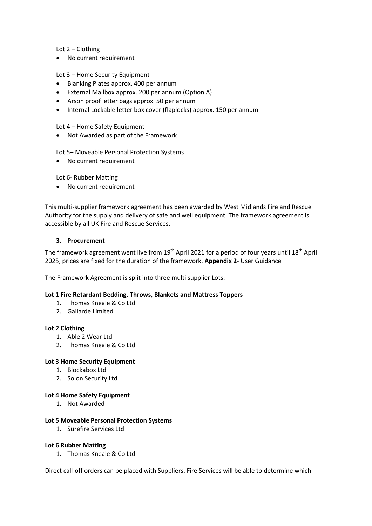Lot 2 – Clothing

• No current requirement

## Lot 3 – Home Security Equipment

- Blanking Plates approx. 400 per annum
- External Mailbox approx. 200 per annum (Option A)
- Arson proof letter bags approx. 50 per annum
- Internal Lockable letter box cover (flaplocks) approx. 150 per annum

Lot 4 – Home Safety Equipment

Not Awarded as part of the Framework

Lot 5– Moveable Personal Protection Systems

No current requirement

Lot 6- Rubber Matting

No current requirement

This multi-supplier framework agreement has been awarded by West Midlands Fire and Rescue Authority for the supply and delivery of safe and well equipment. The framework agreement is accessible by all UK Fire and Rescue Services.

#### **3. Procurement**

The framework agreement went live from  $19<sup>th</sup>$  April 2021 for a period of four years until  $18<sup>th</sup>$  April 2025, prices are fixed for the duration of the framework. **Appendix 2**- User Guidance

The Framework Agreement is split into three multi supplier Lots:

#### **Lot 1 Fire Retardant Bedding, Throws, Blankets and Mattress Toppers**

- 1. Thomas Kneale & Co Ltd
- 2. Gailarde Limited

### **Lot 2 Clothing**

- 1. Able 2 Wear Ltd
- 2. Thomas Kneale & Co Ltd

### **Lot 3 Home Security Equipment**

- 1. Blockabox Ltd
- 2. Solon Security Ltd

### **Lot 4 Home Safety Equipment**

1. Not Awarded

#### **Lot 5 Moveable Personal Protection Systems**

1. Surefire Services Ltd

#### **Lot 6 Rubber Matting**

1. Thomas Kneale & Co Ltd

Direct call-off orders can be placed with Suppliers. Fire Services will be able to determine which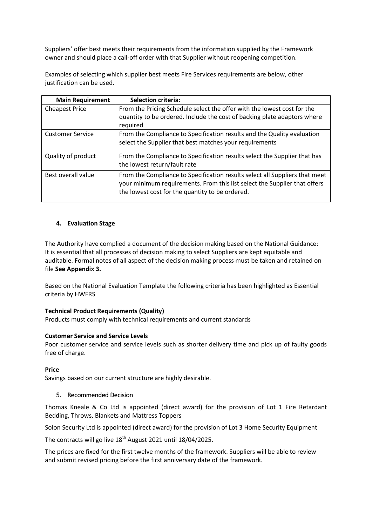Suppliers' offer best meets their requirements from the information supplied by the Framework owner and should place a call-off order with that Supplier without reopening competition.

Examples of selecting which supplier best meets Fire Services requirements are below, other justification can be used.

| <b>Main Requirement</b> | <b>Selection criteria:</b>                                                                                                                                                                                  |
|-------------------------|-------------------------------------------------------------------------------------------------------------------------------------------------------------------------------------------------------------|
| <b>Cheapest Price</b>   | From the Pricing Schedule select the offer with the lowest cost for the                                                                                                                                     |
|                         | quantity to be ordered. Include the cost of backing plate adaptors where                                                                                                                                    |
|                         | required                                                                                                                                                                                                    |
| <b>Customer Service</b> | From the Compliance to Specification results and the Quality evaluation                                                                                                                                     |
|                         | select the Supplier that best matches your requirements                                                                                                                                                     |
| Quality of product      | From the Compliance to Specification results select the Supplier that has                                                                                                                                   |
|                         | the lowest return/fault rate                                                                                                                                                                                |
| Best overall value      | From the Compliance to Specification results select all Suppliers that meet<br>your minimum requirements. From this list select the Supplier that offers<br>the lowest cost for the quantity to be ordered. |

## **4. Evaluation Stage**

The Authority have complied a document of the decision making based on the National Guidance: It is essential that all processes of decision making to select Suppliers are kept equitable and auditable. Formal notes of all aspect of the decision making process must be taken and retained on file **See Appendix 3.**

Based on the National Evaluation Template the following criteria has been highlighted as Essential criteria by HWFRS

### **Technical Product Requirements (Quality)**

Products must comply with technical requirements and current standards

### **Customer Service and Service Levels**

Poor customer service and service levels such as shorter delivery time and pick up of faulty goods free of charge.

### **Price**

Savings based on our current structure are highly desirable.

## 5. Recommended Decision

Thomas Kneale & Co Ltd is appointed (direct award) for the provision of Lot 1 Fire Retardant Bedding, Throws, Blankets and Mattress Toppers

Solon Security Ltd is appointed (direct award) for the provision of Lot 3 Home Security Equipment

The contracts will go live  $18<sup>th</sup>$  August 2021 until  $18/04/2025$ .

The prices are fixed for the first twelve months of the framework. Suppliers will be able to review and submit revised pricing before the first anniversary date of the framework.